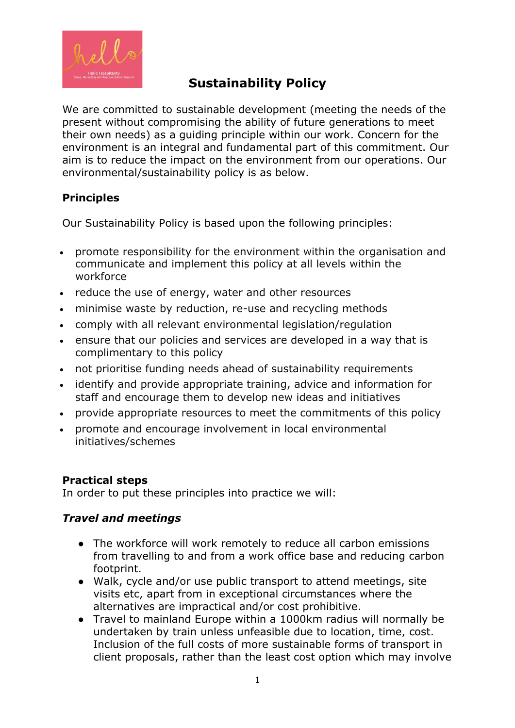

# **Sustainability Policy**

We are committed to sustainable development (meeting the needs of the present without compromising the ability of future generations to meet their own needs) as a guiding principle within our work. Concern for the environment is an integral and fundamental part of this commitment. Our aim is to reduce the impact on the environment from our operations. Our environmental/sustainability policy is as below.

## **Principles**

Our Sustainability Policy is based upon the following principles:

- promote responsibility for the environment within the organisation and communicate and implement this policy at all levels within the workforce
- reduce the use of energy, water and other resources
- minimise waste by reduction, re-use and recycling methods
- comply with all relevant environmental legislation/regulation
- ensure that our policies and services are developed in a way that is complimentary to this policy
- not prioritise funding needs ahead of sustainability requirements
- identify and provide appropriate training, advice and information for staff and encourage them to develop new ideas and initiatives
- provide appropriate resources to meet the commitments of this policy
- promote and encourage involvement in local environmental initiatives/schemes

## **Practical steps**

In order to put these principles into practice we will:

## *Travel and meetings*

- The workforce will work remotely to reduce all carbon emissions from travelling to and from a work office base and reducing carbon footprint.
- Walk, cycle and/or use public transport to attend meetings, site visits etc, apart from in exceptional circumstances where the alternatives are impractical and/or cost prohibitive.
- Travel to mainland Europe within a 1000km radius will normally be undertaken by train unless unfeasible due to location, time, cost. Inclusion of the full costs of more sustainable forms of transport in client proposals, rather than the least cost option which may involve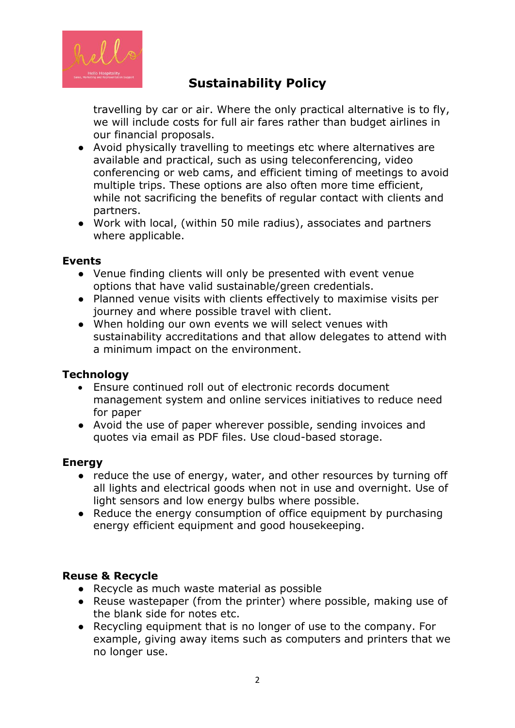

# **Sustainability Policy**

travelling by car or air. Where the only practical alternative is to fly, we will include costs for full air fares rather than budget airlines in our financial proposals.

- Avoid physically travelling to meetings etc where alternatives are available and practical, such as using teleconferencing, video conferencing or web cams, and efficient timing of meetings to avoid multiple trips. These options are also often more time efficient, while not sacrificing the benefits of regular contact with clients and partners.
- Work with local, (within 50 mile radius), associates and partners where applicable.

#### **Events**

- Venue finding clients will only be presented with event venue options that have valid sustainable/green credentials.
- Planned venue visits with clients effectively to maximise visits per journey and where possible travel with client.
- When holding our own events we will select venues with sustainability accreditations and that allow delegates to attend with a minimum impact on the environment.

### **Technology**

- Ensure continued roll out of electronic records document management system and online services initiatives to reduce need for paper
- Avoid the use of paper wherever possible, sending invoices and quotes via email as PDF files. Use cloud-based storage.

### **Energy**

- reduce the use of energy, water, and other resources by turning off all lights and electrical goods when not in use and overnight. Use of light sensors and low energy bulbs where possible.
- Reduce the energy consumption of office equipment by purchasing energy efficient equipment and good housekeeping.

### **Reuse & Recycle**

- Recycle as much waste material as possible
- Reuse wastepaper (from the printer) where possible, making use of the blank side for notes etc.
- Recycling equipment that is no longer of use to the company. For example, giving away items such as computers and printers that we no longer use.